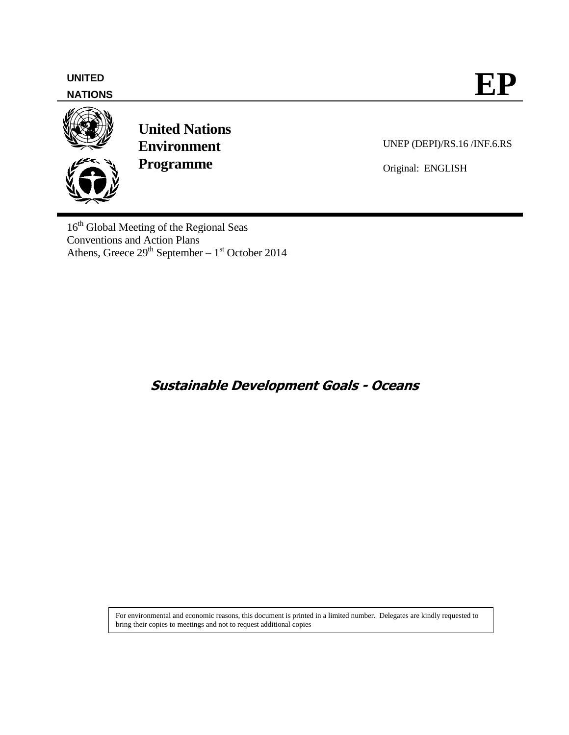## **NATIONS**



**United Nations Environment Programme**

UNEP (DEPI)/RS.16 /INF.6.RS

Original: ENGLISH

16<sup>th</sup> Global Meeting of the Regional Seas Conventions and Action Plans Athens, Greece  $29<sup>th</sup>$  September –  $1<sup>st</sup>$  October 2014

**Sustainable Development Goals - Oceans**

For environmental and economic reasons, this document is printed in a limited number. Delegates are kindly requested to bring their copies to meetings and not to request additional copies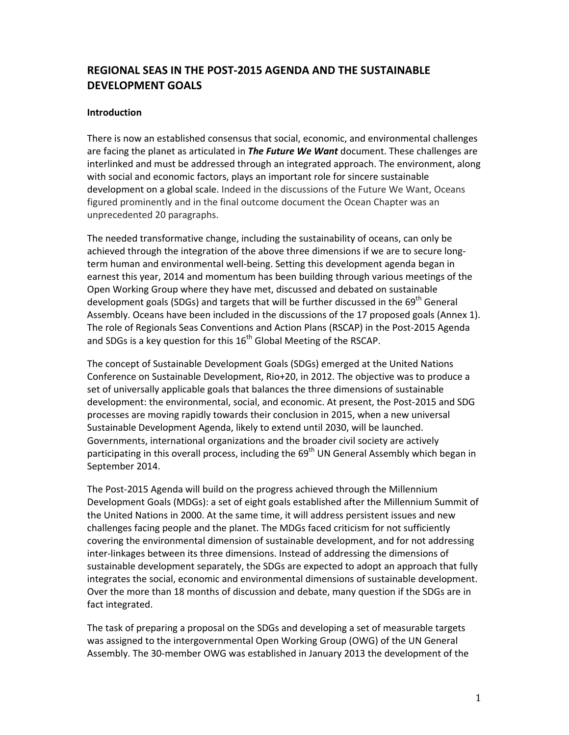# **REGIONAL SEAS IN THE POST‐2015 AGENDA AND THE SUSTAINABLE DEVELOPMENT GOALS**

### **Introduction**

There is now an established consensus that social, economic, and environmental challenges are facing the planet as articulated in *The Future We Want* document. These challenges are interlinked and must be addressed through an integrated approach. The environment, along with social and economic factors, plays an important role for sincere sustainable development on a global scale. Indeed in the discussions of the Future We Want, Oceans figured prominently and in the final outcome document the Ocean Chapter was an unprecedented 20 paragraphs.

The needed transformative change, including the sustainability of oceans, can only be achieved through the integration of the above three dimensions if we are to secure long‐ term human and environmental well‐being. Setting this development agenda began in earnest this year, 2014 and momentum has been building through various meetings of the Open Working Group where they have met, discussed and debated on sustainable development goals (SDGs) and targets that will be further discussed in the 69<sup>th</sup> General Assembly. Oceans have been included in the discussions of the 17 proposed goals (Annex 1). The role of Regionals Seas Conventions and Action Plans (RSCAP) in the Post‐2015 Agenda and SDGs is a key question for this  $16<sup>th</sup>$  Global Meeting of the RSCAP.

The concept of Sustainable Development Goals (SDGs) emerged at the United Nations Conference on Sustainable Development, Rio+20, in 2012. The objective was to produce a set of universally applicable goals that balances the three dimensions of sustainable development: the environmental, social, and economic. At present, the Post‐2015 and SDG processes are moving rapidly towards their conclusion in 2015, when a new universal Sustainable Development Agenda, likely to extend until 2030, will be launched. Governments, international organizations and the broader civil society are actively participating in this overall process, including the  $69<sup>th</sup>$  UN General Assembly which began in September 2014.

The Post‐2015 Agenda will build on the progress achieved through the Millennium Development Goals (MDGs): a set of eight goals established after the Millennium Summit of the United Nations in 2000. At the same time, it will address persistent issues and new challenges facing people and the planet. The MDGs faced criticism for not sufficiently covering the environmental dimension of sustainable development, and for not addressing inter‐linkages between its three dimensions. Instead of addressing the dimensions of sustainable development separately, the SDGs are expected to adopt an approach that fully integrates the social, economic and environmental dimensions of sustainable development. Over the more than 18 months of discussion and debate, many question if the SDGs are in fact integrated.

The task of preparing a proposal on the SDGs and developing a set of measurable targets was assigned to the intergovernmental Open Working Group (OWG) of the UN General Assembly. The 30‐member OWG was established in January 2013 the development of the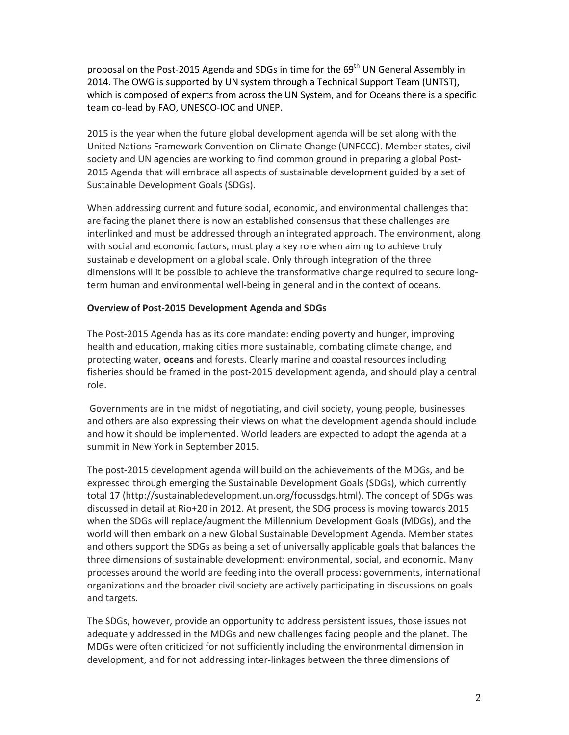proposal on the Post-2015 Agenda and SDGs in time for the 69<sup>th</sup> UN General Assembly in 2014. The OWG is supported by UN system through a Technical Support Team (UNTST), which is composed of experts from across the UN System, and for Oceans there is a specific team co‐lead by FAO, UNESCO‐IOC and UNEP.

2015 is the year when the future global development agenda will be set along with the United Nations Framework Convention on Climate Change (UNFCCC). Member states, civil society and UN agencies are working to find common ground in preparing a global Post‐ 2015 Agenda that will embrace all aspects of sustainable development guided by a set of Sustainable Development Goals (SDGs).

When addressing current and future social, economic, and environmental challenges that are facing the planet there is now an established consensus that these challenges are interlinked and must be addressed through an integrated approach. The environment, along with social and economic factors, must play a key role when aiming to achieve truly sustainable development on a global scale. Only through integration of the three dimensions will it be possible to achieve the transformative change required to secure long‐ term human and environmental well‐being in general and in the context of oceans.

#### **Overview of Post‐2015 Development Agenda and SDGs**

The Post‐2015 Agenda has as its core mandate: ending poverty and hunger, improving health and education, making cities more sustainable, combating climate change, and protecting water, **oceans** and forests. Clearly marine and coastal resources including fisheries should be framed in the post-2015 development agenda, and should play a central role.

Governments are in the midst of negotiating, and civil society, young people, businesses and others are also expressing their views on what the development agenda should include and how it should be implemented. World leaders are expected to adopt the agenda at a summit in New York in September 2015.

The post‐2015 development agenda will build on the achievements of the MDGs, and be expressed through emerging the Sustainable Development Goals (SDGs), which currently total 17 (http://sustainabledevelopment.un.org/focussdgs.html). The concept of SDGs was discussed in detail at Rio+20 in 2012. At present, the SDG process is moving towards 2015 when the SDGs will replace/augment the Millennium Development Goals (MDGs), and the world will then embark on a new Global Sustainable Development Agenda. Member states and others support the SDGs as being a set of universally applicable goals that balances the three dimensions of sustainable development: environmental, social, and economic. Many processes around the world are feeding into the overall process: governments, international organizations and the broader civil society are actively participating in discussions on goals and targets.

The SDGs, however, provide an opportunity to address persistent issues, those issues not adequately addressed in the MDGs and new challenges facing people and the planet. The MDGs were often criticized for not sufficiently including the environmental dimension in development, and for not addressing inter‐linkages between the three dimensions of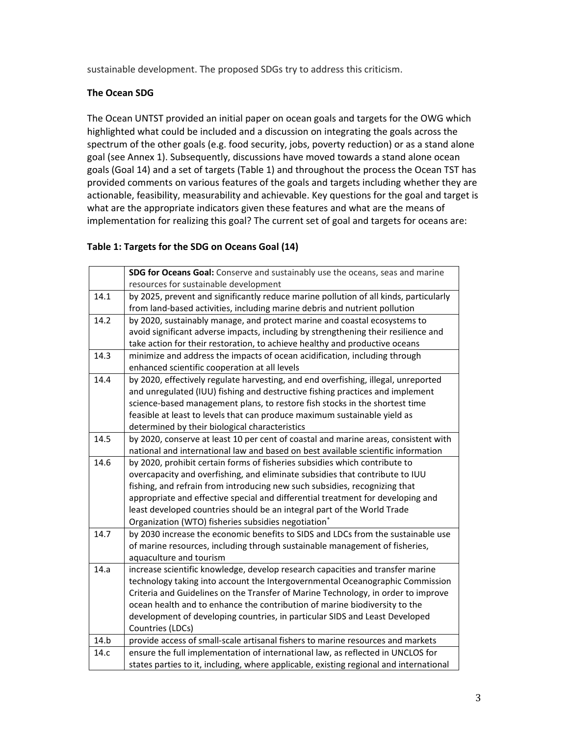sustainable development. The proposed SDGs try to address this criticism.

## **The Ocean SDG**

The Ocean UNTST provided an initial paper on ocean goals and targets for the OWG which highlighted what could be included and a discussion on integrating the goals across the spectrum of the other goals (e.g. food security, jobs, poverty reduction) or as a stand alone goal (see Annex 1). Subsequently, discussions have moved towards a stand alone ocean goals (Goal 14) and a set of targets (Table 1) and throughout the process the Ocean TST has provided comments on various features of the goals and targets including whether they are actionable, feasibility, measurability and achievable. Key questions for the goal and target is what are the appropriate indicators given these features and what are the means of implementation for realizing this goal? The current set of goal and targets for oceans are:

## **Table 1: Targets for the SDG on Oceans Goal (14)**

|      | SDG for Oceans Goal: Conserve and sustainably use the oceans, seas and marine          |  |  |  |
|------|----------------------------------------------------------------------------------------|--|--|--|
|      | resources for sustainable development                                                  |  |  |  |
| 14.1 | by 2025, prevent and significantly reduce marine pollution of all kinds, particularly  |  |  |  |
|      | from land-based activities, including marine debris and nutrient pollution             |  |  |  |
| 14.2 | by 2020, sustainably manage, and protect marine and coastal ecosystems to              |  |  |  |
|      | avoid significant adverse impacts, including by strengthening their resilience and     |  |  |  |
|      | take action for their restoration, to achieve healthy and productive oceans            |  |  |  |
| 14.3 | minimize and address the impacts of ocean acidification, including through             |  |  |  |
|      | enhanced scientific cooperation at all levels                                          |  |  |  |
| 14.4 | by 2020, effectively regulate harvesting, and end overfishing, illegal, unreported     |  |  |  |
|      | and unregulated (IUU) fishing and destructive fishing practices and implement          |  |  |  |
|      | science-based management plans, to restore fish stocks in the shortest time            |  |  |  |
|      | feasible at least to levels that can produce maximum sustainable yield as              |  |  |  |
|      | determined by their biological characteristics                                         |  |  |  |
| 14.5 | by 2020, conserve at least 10 per cent of coastal and marine areas, consistent with    |  |  |  |
|      | national and international law and based on best available scientific information      |  |  |  |
| 14.6 | by 2020, prohibit certain forms of fisheries subsidies which contribute to             |  |  |  |
|      | overcapacity and overfishing, and eliminate subsidies that contribute to IUU           |  |  |  |
|      | fishing, and refrain from introducing new such subsidies, recognizing that             |  |  |  |
|      | appropriate and effective special and differential treatment for developing and        |  |  |  |
|      | least developed countries should be an integral part of the World Trade                |  |  |  |
|      | Organization (WTO) fisheries subsidies negotiation <sup>*</sup>                        |  |  |  |
| 14.7 | by 2030 increase the economic benefits to SIDS and LDCs from the sustainable use       |  |  |  |
|      | of marine resources, including through sustainable management of fisheries,            |  |  |  |
|      | aquaculture and tourism                                                                |  |  |  |
| 14.a | increase scientific knowledge, develop research capacities and transfer marine         |  |  |  |
|      | technology taking into account the Intergovernmental Oceanographic Commission          |  |  |  |
|      | Criteria and Guidelines on the Transfer of Marine Technology, in order to improve      |  |  |  |
|      | ocean health and to enhance the contribution of marine biodiversity to the             |  |  |  |
|      | development of developing countries, in particular SIDS and Least Developed            |  |  |  |
|      | Countries (LDCs)                                                                       |  |  |  |
| 14.b | provide access of small-scale artisanal fishers to marine resources and markets        |  |  |  |
| 14.c | ensure the full implementation of international law, as reflected in UNCLOS for        |  |  |  |
|      | states parties to it, including, where applicable, existing regional and international |  |  |  |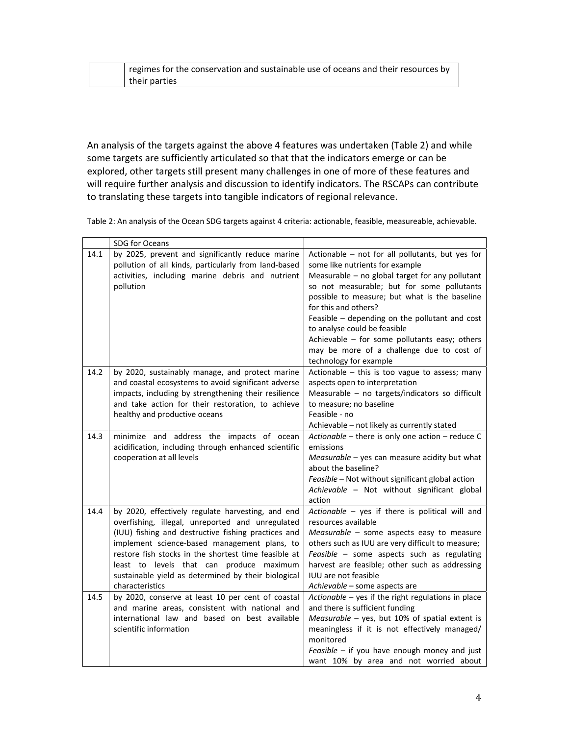| regimes for the conservation and sustainable use of oceans and their resources by |
|-----------------------------------------------------------------------------------|
| their parties                                                                     |

An analysis of the targets against the above 4 features was undertaken (Table 2) and while some targets are sufficiently articulated so that that the indicators emerge or can be explored, other targets still present many challenges in one of more of these features and will require further analysis and discussion to identify indicators. The RSCAPs can contribute to translating these targets into tangible indicators of regional relevance.

Table 2: An analysis of the Ocean SDG targets against 4 criteria: actionable, feasible, measureable, achievable.

|      | SDG for Oceans                                                                                                                                                                                                                                                                                                                                                                             |                                                                                                                                                                                                                                                                                                                                                                                                                                                                         |
|------|--------------------------------------------------------------------------------------------------------------------------------------------------------------------------------------------------------------------------------------------------------------------------------------------------------------------------------------------------------------------------------------------|-------------------------------------------------------------------------------------------------------------------------------------------------------------------------------------------------------------------------------------------------------------------------------------------------------------------------------------------------------------------------------------------------------------------------------------------------------------------------|
| 14.1 | by 2025, prevent and significantly reduce marine<br>pollution of all kinds, particularly from land-based<br>activities, including marine debris and nutrient<br>pollution                                                                                                                                                                                                                  | Actionable - not for all pollutants, but yes for<br>some like nutrients for example<br>Measurable - no global target for any pollutant<br>so not measurable; but for some pollutants<br>possible to measure; but what is the baseline<br>for this and others?<br>Feasible - depending on the pollutant and cost<br>to analyse could be feasible<br>Achievable - for some pollutants easy; others<br>may be more of a challenge due to cost of<br>technology for example |
| 14.2 | by 2020, sustainably manage, and protect marine<br>and coastal ecosystems to avoid significant adverse<br>impacts, including by strengthening their resilience<br>and take action for their restoration, to achieve<br>healthy and productive oceans                                                                                                                                       | Actionable - this is too vague to assess; many<br>aspects open to interpretation<br>Measurable - no targets/indicators so difficult<br>to measure; no baseline<br>Feasible - no<br>Achievable - not likely as currently stated                                                                                                                                                                                                                                          |
| 14.3 | minimize and address the impacts of ocean<br>acidification, including through enhanced scientific<br>cooperation at all levels                                                                                                                                                                                                                                                             | Actionable - there is only one action - reduce C<br>emissions<br>Measurable - yes can measure acidity but what<br>about the baseline?<br>Feasible - Not without significant global action<br>Achievable - Not without significant global<br>action                                                                                                                                                                                                                      |
| 14.4 | by 2020, effectively regulate harvesting, and end<br>overfishing, illegal, unreported and unregulated<br>(IUU) fishing and destructive fishing practices and<br>implement science-based management plans, to<br>restore fish stocks in the shortest time feasible at<br>least to levels that can produce maximum<br>sustainable yield as determined by their biological<br>characteristics | Actionable - yes if there is political will and<br>resources available<br>Measurable - some aspects easy to measure<br>others such as IUU are very difficult to measure;<br>Feasible - some aspects such as regulating<br>harvest are feasible; other such as addressing<br><b>IUU</b> are not feasible<br>Achievable - some aspects are                                                                                                                                |
| 14.5 | by 2020, conserve at least 10 per cent of coastal<br>and marine areas, consistent with national and<br>international law and based on best available<br>scientific information                                                                                                                                                                                                             | Actionable - yes if the right regulations in place<br>and there is sufficient funding<br>Measurable - yes, but 10% of spatial extent is<br>meaningless if it is not effectively managed/<br>monitored<br>Feasible - if you have enough money and just<br>want 10% by area and not worried about                                                                                                                                                                         |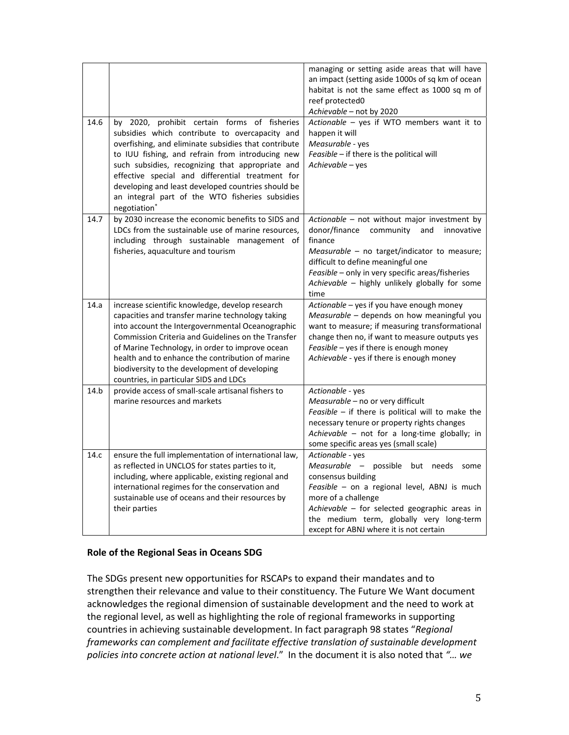|      |                                                                                                                                                                                                                                                                                                                                                                                                                                             | managing or setting aside areas that will have<br>an impact (setting aside 1000s of sq km of ocean<br>habitat is not the same effect as 1000 sq m of<br>reef protected0<br>Achievable - not by 2020                                                                                                         |
|------|---------------------------------------------------------------------------------------------------------------------------------------------------------------------------------------------------------------------------------------------------------------------------------------------------------------------------------------------------------------------------------------------------------------------------------------------|-------------------------------------------------------------------------------------------------------------------------------------------------------------------------------------------------------------------------------------------------------------------------------------------------------------|
| 14.6 | by 2020, prohibit certain forms of fisheries<br>subsidies which contribute to overcapacity and<br>overfishing, and eliminate subsidies that contribute<br>to IUU fishing, and refrain from introducing new<br>such subsidies, recognizing that appropriate and<br>effective special and differential treatment for<br>developing and least developed countries should be<br>an integral part of the WTO fisheries subsidies<br>negotiation* | Actionable - yes if WTO members want it to<br>happen it will<br>Measurable - yes<br>Feasible - if there is the political will<br>Achievable - yes                                                                                                                                                           |
| 14.7 | by 2030 increase the economic benefits to SIDS and<br>LDCs from the sustainable use of marine resources,<br>including through sustainable management of<br>fisheries, aquaculture and tourism                                                                                                                                                                                                                                               | Actionable - not without major investment by<br>donor/finance community<br>and<br>innovative<br>finance<br>Measurable - no target/indicator to measure;<br>difficult to define meaningful one<br>Feasible - only in very specific areas/fisheries<br>Achievable - highly unlikely globally for some<br>time |
| 14.a | increase scientific knowledge, develop research<br>capacities and transfer marine technology taking<br>into account the Intergovernmental Oceanographic<br>Commission Criteria and Guidelines on the Transfer<br>of Marine Technology, in order to improve ocean<br>health and to enhance the contribution of marine<br>biodiversity to the development of developing<br>countries, in particular SIDS and LDCs                             | Actionable - yes if you have enough money<br>Measurable - depends on how meaningful you<br>want to measure; if measuring transformational<br>change then no, if want to measure outputs yes<br>Feasible - yes if there is enough money<br>Achievable - yes if there is enough money                         |
| 14.b | provide access of small-scale artisanal fishers to<br>marine resources and markets                                                                                                                                                                                                                                                                                                                                                          | Actionable - yes<br>Measurable - no or very difficult<br>Feasible $-$ if there is political will to make the<br>necessary tenure or property rights changes<br>Achievable - not for a long-time globally; in<br>some specific areas yes (small scale)                                                       |
| 14.c | ensure the full implementation of international law,<br>as reflected in UNCLOS for states parties to it,<br>including, where applicable, existing regional and<br>international regimes for the conservation and<br>sustainable use of oceans and their resources by<br>their parties                                                                                                                                                       | Actionable - yes<br>Measurable - possible but needs some<br>consensus building<br>Feasible - on a regional level, ABNJ is much<br>more of a challenge<br>Achievable - for selected geographic areas in<br>the medium term, globally very long-term<br>except for ABNJ where it is not certain               |

### **Role of the Regional Seas in Oceans SDG**

The SDGs present new opportunities for RSCAPs to expand their mandates and to strengthen their relevance and value to their constituency. The Future We Want document acknowledges the regional dimension of sustainable development and the need to work at the regional level, as well as highlighting the role of regional frameworks in supporting countries in achieving sustainable development. In fact paragraph 98 states "*Regional frameworks can complement and facilitate effective translation of sustainable development policies into concrete action at national level*." In the document it is also noted that *"… we*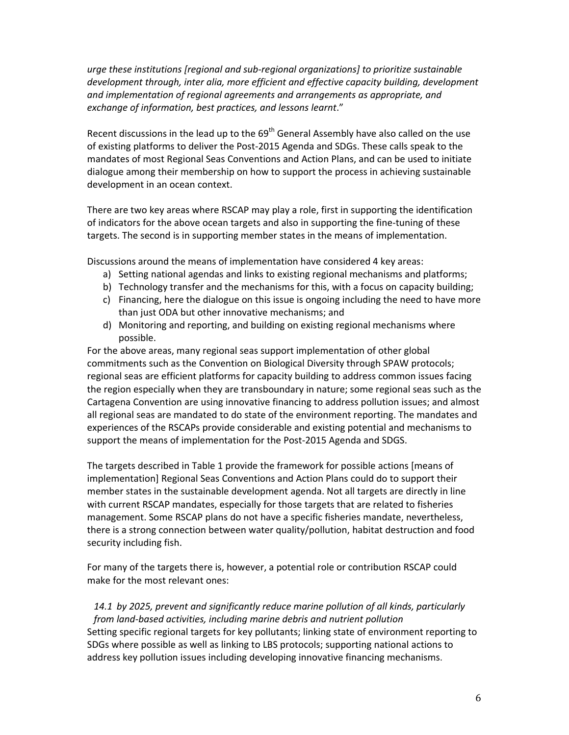*urge these institutions [regional and sub‐regional organizations] to prioritize sustainable development through, inter alia, more efficient and effective capacity building, development and implementation of regional agreements and arrangements as appropriate, and exchange of information, best practices, and lessons learnt*."

Recent discussions in the lead up to the  $69<sup>th</sup>$  General Assembly have also called on the use of existing platforms to deliver the Post‐2015 Agenda and SDGs. These calls speak to the mandates of most Regional Seas Conventions and Action Plans, and can be used to initiate dialogue among their membership on how to support the process in achieving sustainable development in an ocean context.

There are two key areas where RSCAP may play a role, first in supporting the identification of indicators for the above ocean targets and also in supporting the fine‐tuning of these targets. The second is in supporting member states in the means of implementation.

Discussions around the means of implementation have considered 4 key areas:

- a) Setting national agendas and links to existing regional mechanisms and platforms;
- b) Technology transfer and the mechanisms for this, with a focus on capacity building;
- c) Financing, here the dialogue on this issue is ongoing including the need to have more than just ODA but other innovative mechanisms; and
- d) Monitoring and reporting, and building on existing regional mechanisms where possible.

For the above areas, many regional seas support implementation of other global commitments such as the Convention on Biological Diversity through SPAW protocols; regional seas are efficient platforms for capacity building to address common issues facing the region especially when they are transboundary in nature; some regional seas such as the Cartagena Convention are using innovative financing to address pollution issues; and almost all regional seas are mandated to do state of the environment reporting. The mandates and experiences of the RSCAPs provide considerable and existing potential and mechanisms to support the means of implementation for the Post‐2015 Agenda and SDGS.

The targets described in Table 1 provide the framework for possible actions [means of implementation] Regional Seas Conventions and Action Plans could do to support their member states in the sustainable development agenda. Not all targets are directly in line with current RSCAP mandates, especially for those targets that are related to fisheries management. Some RSCAP plans do not have a specific fisheries mandate, nevertheless, there is a strong connection between water quality/pollution, habitat destruction and food security including fish.

For many of the targets there is, however, a potential role or contribution RSCAP could make for the most relevant ones:

*14.1 by 2025, prevent and significantly reduce marine pollution of all kinds, particularly from land‐based activities, including marine debris and nutrient pollution* Setting specific regional targets for key pollutants; linking state of environment reporting to SDGs where possible as well as linking to LBS protocols; supporting national actions to address key pollution issues including developing innovative financing mechanisms.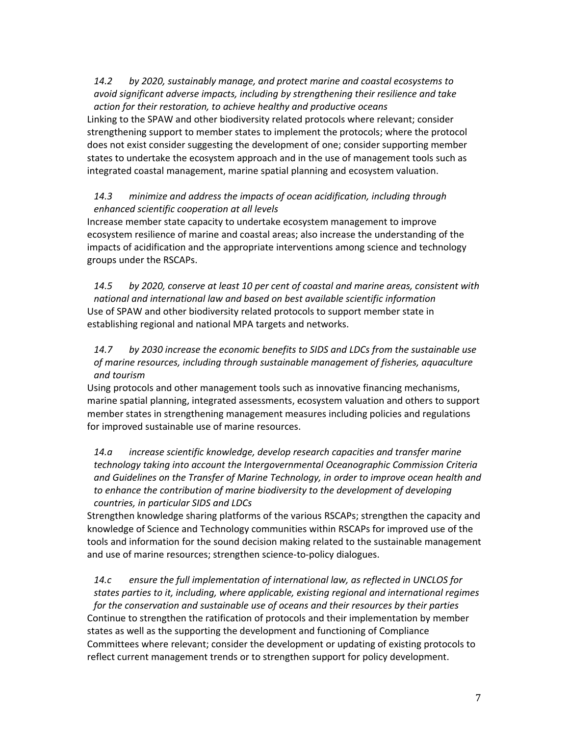*14.2 by 2020, sustainably manage, and protect marine and coastal ecosystems to avoid significant adverse impacts, including by strengthening their resilience and take action for their restoration, to achieve healthy and productive oceans*

Linking to the SPAW and other biodiversity related protocols where relevant; consider strengthening support to member states to implement the protocols; where the protocol does not exist consider suggesting the development of one; consider supporting member states to undertake the ecosystem approach and in the use of management tools such as integrated coastal management, marine spatial planning and ecosystem valuation.

## *14.3 minimize and address the impacts of ocean acidification, including through enhanced scientific cooperation at all levels*

Increase member state capacity to undertake ecosystem management to improve ecosystem resilience of marine and coastal areas; also increase the understanding of the impacts of acidification and the appropriate interventions among science and technology groups under the RSCAPs.

*14.5 by 2020, conserve at least 10 per cent of coastal and marine areas, consistent with national and international law and based on best available scientific information* Use of SPAW and other biodiversity related protocols to support member state in establishing regional and national MPA targets and networks.

## *14.7 by 2030 increase the economic benefits to SIDS and LDCs from the sustainable use of marine resources, including through sustainable management of fisheries, aquaculture and tourism*

Using protocols and other management tools such as innovative financing mechanisms, marine spatial planning, integrated assessments, ecosystem valuation and others to support member states in strengthening management measures including policies and regulations for improved sustainable use of marine resources.

*14.a increase scientific knowledge, develop research capacities and transfer marine technology taking into account the Intergovernmental Oceanographic Commission Criteria and Guidelines on the Transfer of Marine Technology, in order to improve ocean health and to enhance the contribution of marine biodiversity to the development of developing countries, in particular SIDS and LDCs* 

Strengthen knowledge sharing platforms of the various RSCAPs; strengthen the capacity and knowledge of Science and Technology communities within RSCAPs for improved use of the tools and information for the sound decision making related to the sustainable management and use of marine resources; strengthen science‐to‐policy dialogues.

*14.c ensure the full implementation of international law, as reflected in UNCLOS for states parties to it, including, where applicable, existing regional and international regimes for the conservation and sustainable use of oceans and their resources by their parties* Continue to strengthen the ratification of protocols and their implementation by member states as well as the supporting the development and functioning of Compliance Committees where relevant; consider the development or updating of existing protocols to reflect current management trends or to strengthen support for policy development.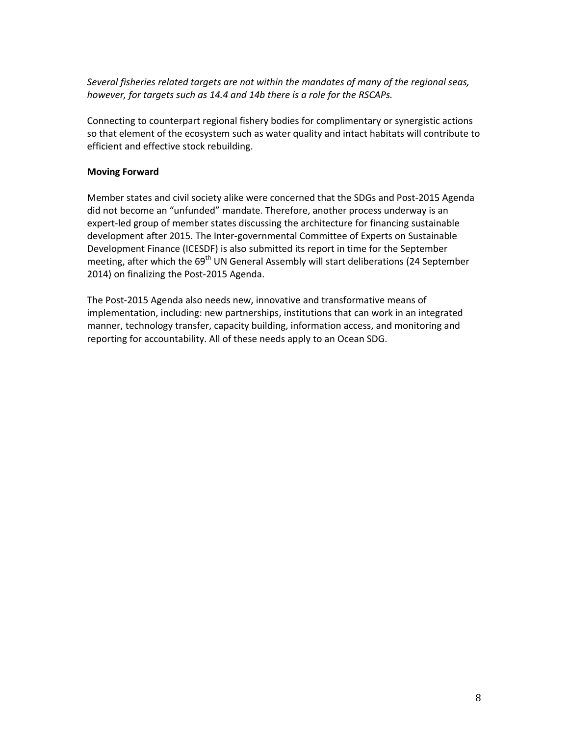*Several fisheries related targets are not within the mandates of many of the regional seas, however, for targets such as 14.4 and 14b there is a role for the RSCAPs.* 

Connecting to counterpart regional fishery bodies for complimentary or synergistic actions so that element of the ecosystem such as water quality and intact habitats will contribute to efficient and effective stock rebuilding.

### **Moving Forward**

Member states and civil society alike were concerned that the SDGs and Post‐2015 Agenda did not become an "unfunded" mandate. Therefore, another process underway is an expert-led group of member states discussing the architecture for financing sustainable development after 2015. The Inter‐governmental Committee of Experts on Sustainable Development Finance (ICESDF) is also submitted its report in time for the September meeting, after which the 69<sup>th</sup> UN General Assembly will start deliberations (24 September 2014) on finalizing the Post‐2015 Agenda.

The Post‐2015 Agenda also needs new, innovative and transformative means of implementation, including: new partnerships, institutions that can work in an integrated manner, technology transfer, capacity building, information access, and monitoring and reporting for accountability. All of these needs apply to an Ocean SDG.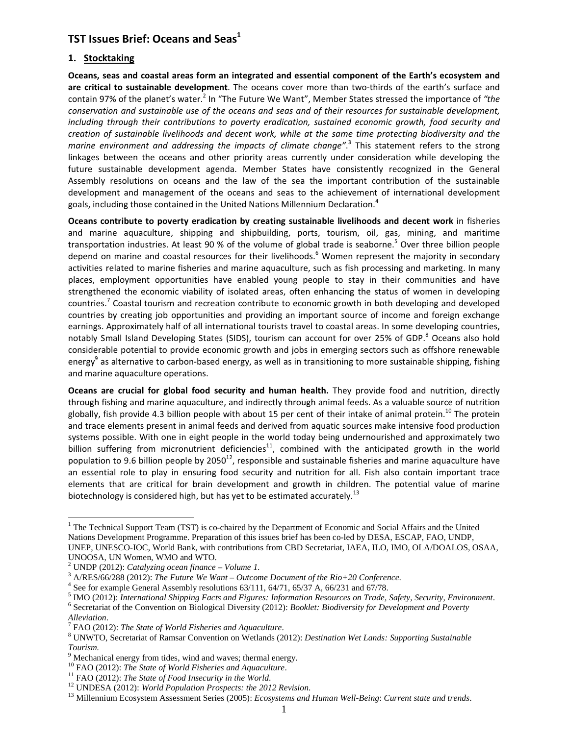## TST Issues Brief: Oceans and Seas $^1$

#### 1. Stocktaking

Oceans, seas and coastal areas form an integrated and essential component of the Earth's ecosystem and are critical to sustainable development. The oceans cover more than two-thirds of the earth's surface and contain 97% of the planet's water.<sup>2</sup> In "The Future We Want", Member States stressed the importance of "the conservation and sustainable use of the oceans and seas and of their resources for sustainable development, including through their contributions to poverty eradication, sustained economic growth, food security and creation of sustainable livelihoods and decent work, while at the same time protecting biodiversity and the marine environment and addressing the impacts of climate change".<sup>3</sup> This statement refers to the strong linkages between the oceans and other priority areas currently under consideration while developing the future sustainable development agenda. Member States have consistently recognized in the General Assembly resolutions on oceans and the law of the sea the important contribution of the sustainable development and management of the oceans and seas to the achievement of international development goals, including those contained in the United Nations Millennium Declaration.<sup>4</sup>

Oceans contribute to poverty eradication by creating sustainable livelihoods and decent work in fisheries and marine aquaculture, shipping and shipbuilding, ports, tourism, oil, gas, mining, and maritime transportation industries. At least 90 % of the volume of global trade is seaborne.<sup>5</sup> Over three billion people depend on marine and coastal resources for their livelihoods.<sup>6</sup> Women represent the majority in secondary activities related to marine fisheries and marine aquaculture, such as fish processing and marketing. In many places, employment opportunities have enabled young people to stay in their communities and have strengthened the economic viability of isolated areas, often enhancing the status of women in developing countries.<sup>7</sup> Coastal tourism and recreation contribute to economic growth in both developing and developed countries by creating job opportunities and providing an important source of income and foreign exchange earnings. Approximately half of all international tourists travel to coastal areas. In some developing countries, notably Small Island Developing States (SIDS), tourism can account for over 25% of GDP.<sup>8</sup> Oceans also hold considerable potential to provide economic growth and jobs in emerging sectors such as offshore renewable energy<sup>9</sup> as alternative to carbon-based energy, as well as in transitioning to more sustainable shipping, fishing and marine aquaculture operations.

Oceans are crucial for global food security and human health. They provide food and nutrition, directly through fishing and marine aquaculture, and indirectly through animal feeds. As a valuable source of nutrition globally, fish provide 4.3 billion people with about 15 per cent of their intake of animal protein.<sup>10</sup> The protein and trace elements present in animal feeds and derived from aquatic sources make intensive food production systems possible. With one in eight people in the world today being undernourished and approximately two billion suffering from micronutrient deficiencies<sup>11</sup>, combined with the anticipated growth in the world population to 9.6 billion people by 2050<sup>12</sup>, responsible and sustainable fisheries and marine aquaculture have an essential role to play in ensuring food security and nutrition for all. Fish also contain important trace elements that are critical for brain development and growth in children. The potential value of marine biotechnology is considered high, but has yet to be estimated accurately.<sup>13</sup>

<sup>&</sup>lt;sup>1</sup> The Technical Support Team (TST) is co-chaired by the Department of Economic and Social Affairs and the United Nations Development Programme. Preparation of this issues brief has been co-led by DESA, ESCAP, FAO, UNDP, UNEP, UNESCO-IOC, World Bank, with contributions from CBD Secretariat, IAEA, ILO, IMO, OLA/DOALOS, OSAA, UNOOSA, UN Women, WMO and WTO.

<sup>2</sup> UNDP (2012): *Catalyzing ocean finance – Volume 1*.

<sup>3</sup> A/RES/66/288 (2012): *The Future We Want – Outcome Document of the Rio+20 Conference*.

 $4$  See for example General Assembly resolutions  $63/111$ ,  $64/71$ ,  $65/37$  A,  $66/231$  and  $67/78$ .

<sup>5</sup> IMO (2012): *International Shipping Facts and Figures: Information Resources on Trade, Safety, Security, Environment*.

<sup>6</sup> Secretariat of the Convention on Biological Diversity (2012): *Booklet: Biodiversity for Development and Poverty* 

*Alleviation*.

<sup>7</sup> FAO (2012): *The State of World Fisheries and Aquaculture*.

<sup>8</sup> UNWTO, Secretariat of Ramsar Convention on Wetlands (2012): *Destination Wet Lands: Supporting Sustainable Tourism.* 

<sup>&</sup>lt;sup>9</sup> Mechanical energy from tides, wind and waves; thermal energy.

<sup>10</sup> FAO (2012): *The State of World Fisheries and Aquaculture*.

<sup>11</sup> FAO (2012): *The State of Food Insecurity in the World*.

<sup>12</sup> UNDESA (2012): *World Population Prospects: the 2012 Revision*.

<sup>13</sup> Millennium Ecosystem Assessment Series (2005): *Ecosystems and Human Well-Being*: *Current state and trends*.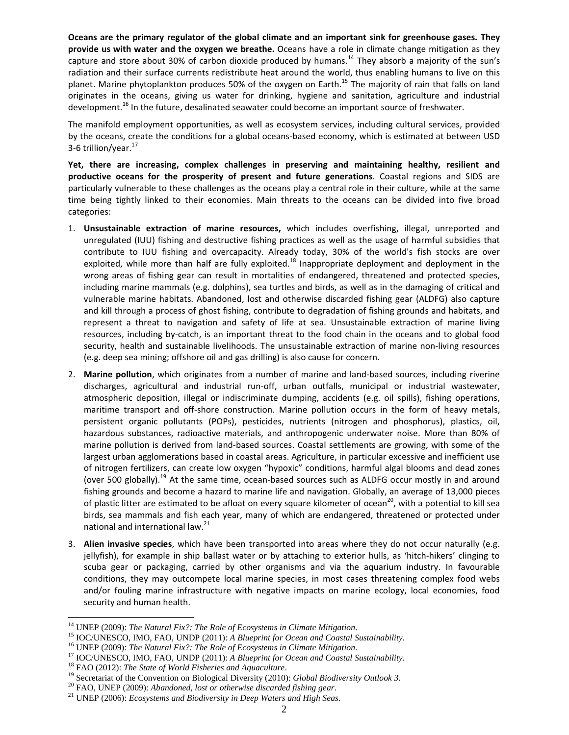Oceans are the primary regulator of the global climate and an important sink for greenhouse gases. They provide us with water and the oxygen we breathe. Oceans have a role in climate change mitigation as they capture and store about 30% of carbon dioxide produced by humans.<sup>14</sup> They absorb a majority of the sun's radiation and their surface currents redistribute heat around the world, thus enabling humans to live on this planet. Marine phytoplankton produces 50% of the oxygen on Earth.<sup>15</sup> The majority of rain that falls on land originates in the oceans, giving us water for drinking, hygiene and sanitation, agriculture and industrial development.<sup>16</sup> In the future, desalinated seawater could become an important source of freshwater.

The manifold employment opportunities, as well as ecosystem services, including cultural services, provided by the oceans, create the conditions for a global oceans-based economy, which is estimated at between USD 3-6 trillion/year. $^{17}$ 

Yet, there are increasing, complex challenges in preserving and maintaining healthy, resilient and productive oceans for the prosperity of present and future generations. Coastal regions and SIDS are particularly vulnerable to these challenges as the oceans play a central role in their culture, while at the same time being tightly linked to their economies. Main threats to the oceans can be divided into five broad categories:

- 1. Unsustainable extraction of marine resources, which includes overfishing, illegal, unreported and unregulated (IUU) fishing and destructive fishing practices as well as the usage of harmful subsidies that contribute to IUU fishing and overcapacity. Already today, 30% of the world's fish stocks are over exploited, while more than half are fully exploited.<sup>18</sup> Inappropriate deployment and deployment in the wrong areas of fishing gear can result in mortalities of endangered, threatened and protected species, including marine mammals (e.g. dolphins), sea turtles and birds, as well as in the damaging of critical and vulnerable marine habitats. Abandoned, lost and otherwise discarded fishing gear (ALDFG) also capture and kill through a process of ghost fishing, contribute to degradation of fishing grounds and habitats, and represent a threat to navigation and safety of life at sea. Unsustainable extraction of marine living resources, including by-catch, is an important threat to the food chain in the oceans and to global food security, health and sustainable livelihoods. The unsustainable extraction of marine non-living resources (e.g. deep sea mining; offshore oil and gas drilling) is also cause for concern.
- 2. Marine pollution, which originates from a number of marine and land-based sources, including riverine discharges, agricultural and industrial run-off, urban outfalls, municipal or industrial wastewater, atmospheric deposition, illegal or indiscriminate dumping, accidents (e.g. oil spills), fishing operations, maritime transport and off-shore construction. Marine pollution occurs in the form of heavy metals, persistent organic pollutants (POPs), pesticides, nutrients (nitrogen and phosphorus), plastics, oil, hazardous substances, radioactive materials, and anthropogenic underwater noise. More than 80% of marine pollution is derived from land-based sources. Coastal settlements are growing, with some of the largest urban agglomerations based in coastal areas. Agriculture, in particular excessive and inefficient use of nitrogen fertilizers, can create low oxygen "hypoxic" conditions, harmful algal blooms and dead zones (over 500 globally).<sup>19</sup> At the same time, ocean-based sources such as ALDFG occur mostly in and around fishing grounds and become a hazard to marine life and navigation. Globally, an average of 13,000 pieces of plastic litter are estimated to be afloat on every square kilometer of ocean<sup>20</sup>, with a potential to kill sea birds, sea mammals and fish each year, many of which are endangered, threatened or protected under national and international law.<sup>21</sup>
- 3. Alien invasive species, which have been transported into areas where they do not occur naturally (e.g. jellyfish), for example in ship ballast water or by attaching to exterior hulls, as 'hitch-hikers' clinging to scuba gear or packaging, carried by other organisms and via the aquarium industry. In favourable conditions, they may outcompete local marine species, in most cases threatening complex food webs and/or fouling marine infrastructure with negative impacts on marine ecology, local economies, food security and human health.

<sup>14</sup> UNEP (2009): *The Natural Fix?: The Role of Ecosystems in Climate Mitigation*.

<sup>15</sup> IOC/UNESCO, IMO, FAO, UNDP (2011): *A Blueprint for Ocean and Coastal Sustainability*.

<sup>16</sup> UNEP (2009): *The Natural Fix?: The Role of Ecosystems in Climate Mitigation*.

<sup>17</sup> IOC/UNESCO, IMO, FAO, UNDP (2011): *A Blueprint for Ocean and Coastal Sustainability*.

<sup>18</sup> FAO (2012): *The State of World Fisheries and Aquaculture*.

<sup>19</sup> Secretariat of the Convention on Biological Diversity (2010): *Global Biodiversity Outlook 3*.

<sup>20</sup> FAO, UNEP (2009): *Abandoned, lost or otherwise discarded fishing gear*.

<sup>21</sup> UNEP (2006): *Ecosystems and Biodiversity in Deep Waters and High Seas*.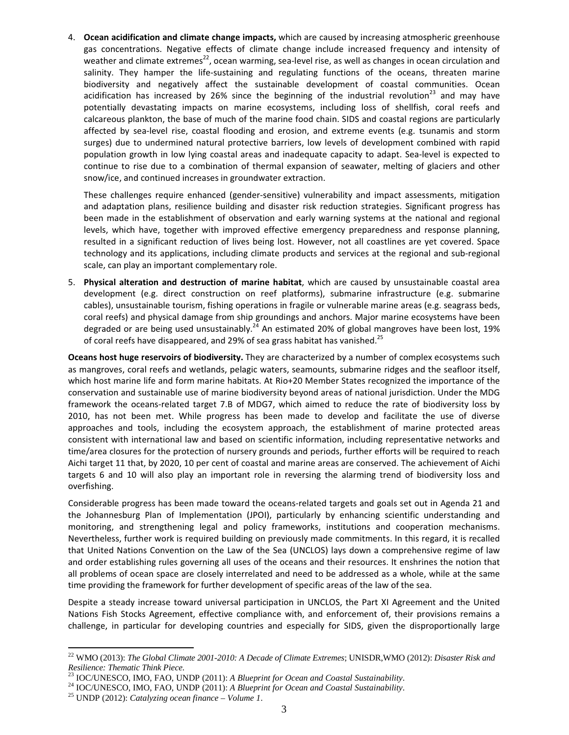4. Ocean acidification and climate change impacts, which are caused by increasing atmospheric greenhouse gas concentrations. Negative effects of climate change include increased frequency and intensity of weather and climate extremes<sup>22</sup>, ocean warming, sea-level rise, as well as changes in ocean circulation and salinity. They hamper the life-sustaining and regulating functions of the oceans, threaten marine biodiversity and negatively affect the sustainable development of coastal communities. Ocean acidification has increased by 26% since the beginning of the industrial revolution<sup>23</sup> and may have potentially devastating impacts on marine ecosystems, including loss of shellfish, coral reefs and calcareous plankton, the base of much of the marine food chain. SIDS and coastal regions are particularly affected by sea-level rise, coastal flooding and erosion, and extreme events (e.g. tsunamis and storm surges) due to undermined natural protective barriers, low levels of development combined with rapid population growth in low lying coastal areas and inadequate capacity to adapt. Sea-level is expected to continue to rise due to a combination of thermal expansion of seawater, melting of glaciers and other snow/ice, and continued increases in groundwater extraction.

These challenges require enhanced (gender-sensitive) vulnerability and impact assessments, mitigation and adaptation plans, resilience building and disaster risk reduction strategies. Significant progress has been made in the establishment of observation and early warning systems at the national and regional levels, which have, together with improved effective emergency preparedness and response planning, resulted in a significant reduction of lives being lost. However, not all coastlines are yet covered. Space technology and its applications, including climate products and services at the regional and sub-regional scale, can play an important complementary role.

5. Physical alteration and destruction of marine habitat, which are caused by unsustainable coastal area development (e.g. direct construction on reef platforms), submarine infrastructure (e.g. submarine cables), unsustainable tourism, fishing operations in fragile or vulnerable marine areas (e.g. seagrass beds, coral reefs) and physical damage from ship groundings and anchors. Major marine ecosystems have been degraded or are being used unsustainably.<sup>24</sup> An estimated 20% of global mangroves have been lost, 19% of coral reefs have disappeared, and 29% of sea grass habitat has vanished.<sup>25</sup>

Oceans host huge reservoirs of biodiversity. They are characterized by a number of complex ecosystems such as mangroves, coral reefs and wetlands, pelagic waters, seamounts, submarine ridges and the seafloor itself, which host marine life and form marine habitats. At Rio+20 Member States recognized the importance of the conservation and sustainable use of marine biodiversity beyond areas of national jurisdiction. Under the MDG framework the oceans-related target 7.B of MDG7, which aimed to reduce the rate of biodiversity loss by 2010, has not been met. While progress has been made to develop and facilitate the use of diverse approaches and tools, including the ecosystem approach, the establishment of marine protected areas consistent with international law and based on scientific information, including representative networks and time/area closures for the protection of nursery grounds and periods, further efforts will be required to reach Aichi target 11 that, by 2020, 10 per cent of coastal and marine areas are conserved. The achievement of Aichi targets 6 and 10 will also play an important role in reversing the alarming trend of biodiversity loss and overfishing.

Considerable progress has been made toward the oceans-related targets and goals set out in Agenda 21 and the Johannesburg Plan of Implementation (JPOI), particularly by enhancing scientific understanding and monitoring, and strengthening legal and policy frameworks, institutions and cooperation mechanisms. Nevertheless, further work is required building on previously made commitments. In this regard, it is recalled that United Nations Convention on the Law of the Sea (UNCLOS) lays down a comprehensive regime of law and order establishing rules governing all uses of the oceans and their resources. It enshrines the notion that all problems of ocean space are closely interrelated and need to be addressed as a whole, while at the same time providing the framework for further development of specific areas of the law of the sea.

Despite a steady increase toward universal participation in UNCLOS, the Part XI Agreement and the United Nations Fish Stocks Agreement, effective compliance with, and enforcement of, their provisions remains a challenge, in particular for developing countries and especially for SIDS, given the disproportionally large

<sup>22</sup> WMO (2013): *The Global Climate 2001-2010: A Decade of Climate Extremes*; UNISDR,WMO (2012): *Disaster Risk and Resilience: Thematic Think Piece*.

<sup>23</sup> IOC/UNESCO, IMO, FAO, UNDP (2011): *A Blueprint for Ocean and Coastal Sustainability*.

<sup>24</sup> IOC/UNESCO, IMO, FAO, UNDP (2011): *A Blueprint for Ocean and Coastal Sustainability*.

<sup>25</sup> UNDP (2012): *Catalyzing ocean finance – Volume 1*.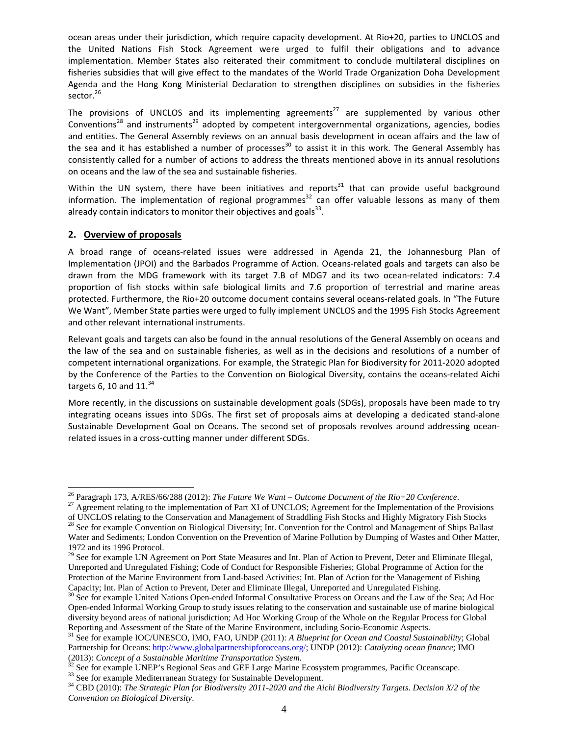ocean areas under their jurisdiction, which require capacity development. At Rio+20, parties to UNCLOS and the United Nations Fish Stock Agreement were urged to fulfil their obligations and to advance implementation. Member States also reiterated their commitment to conclude multilateral disciplines on fisheries subsidies that will give effect to the mandates of the World Trade Organization Doha Development Agenda and the Hong Kong Ministerial Declaration to strengthen disciplines on subsidies in the fisheries sector.<sup>26</sup>

The provisions of UNCLOS and its implementing agreements<sup>27</sup> are supplemented by various other Conventions<sup>28</sup> and instruments<sup>29</sup> adopted by competent intergovernmental organizations, agencies, bodies and entities. The General Assembly reviews on an annual basis development in ocean affairs and the law of the sea and it has established a number of processes<sup>30</sup> to assist it in this work. The General Assembly has consistently called for a number of actions to address the threats mentioned above in its annual resolutions on oceans and the law of the sea and sustainable fisheries.

Within the UN system, there have been initiatives and reports<sup>31</sup> that can provide useful background information. The implementation of regional programmes<sup>32</sup> can offer valuable lessons as many of them already contain indicators to monitor their objectives and goals $^{33}$ .

### 2. Overview of proposals

-

A broad range of oceans-related issues were addressed in Agenda 21, the Johannesburg Plan of Implementation (JPOI) and the Barbados Programme of Action. Oceans-related goals and targets can also be drawn from the MDG framework with its target 7.B of MDG7 and its two ocean-related indicators: 7.4 proportion of fish stocks within safe biological limits and 7.6 proportion of terrestrial and marine areas protected. Furthermore, the Rio+20 outcome document contains several oceans-related goals. In "The Future We Want", Member State parties were urged to fully implement UNCLOS and the 1995 Fish Stocks Agreement and other relevant international instruments.

Relevant goals and targets can also be found in the annual resolutions of the General Assembly on oceans and the law of the sea and on sustainable fisheries, as well as in the decisions and resolutions of a number of competent international organizations. For example, the Strategic Plan for Biodiversity for 2011-2020 adopted by the Conference of the Parties to the Convention on Biological Diversity, contains the oceans-related Aichi targets 6, 10 and  $11^{34}$ 

More recently, in the discussions on sustainable development goals (SDGs), proposals have been made to try integrating oceans issues into SDGs. The first set of proposals aims at developing a dedicated stand-alone Sustainable Development Goal on Oceans. The second set of proposals revolves around addressing oceanrelated issues in a cross-cutting manner under different SDGs.

<sup>26</sup> Paragraph 173, A/RES/66/288 (2012): *The Future We Want – Outcome Document of the Rio+20 Conference*.

 $27$  Agreement relating to the implementation of Part XI of UNCLOS; Agreement for the Implementation of the Provisions

of UNCLOS relating to the Conservation and Management of Straddling Fish Stocks and Highly Migratory Fish Stocks  $^{28}$  See for example Convention on Biological Diversity; Int. Convention for the Control and Management of Ships Ballast Water and Sediments; London Convention on the Prevention of Marine Pollution by Dumping of Wastes and Other Matter, 1972 and its 1996 Protocol.

<sup>&</sup>lt;sup>29</sup> See for example UN Agreement on Port State Measures and Int. Plan of Action to Prevent, Deter and Eliminate Illegal, Unreported and Unregulated Fishing; Code of Conduct for Responsible Fisheries; Global Programme of Action for the Protection of the Marine Environment from Land-based Activities; Int. Plan of Action for the Management of Fishing Capacity; Int. Plan of Action to Prevent, Deter and Eliminate Illegal, Unreported and Unregulated Fishing.

<sup>&</sup>lt;sup>30</sup> See for example United Nations Open-ended Informal Consultative Process on Oceans and the Law of the Sea; Ad Hoc Open-ended Informal Working Group to study issues relating to the conservation and sustainable use of marine biological diversity beyond areas of national jurisdiction; Ad Hoc Working Group of the Whole on the Regular Process for Global Reporting and Assessment of the State of the Marine Environment, including Socio-Economic Aspects.

<sup>31</sup> See for example IOC/UNESCO, IMO, FAO, UNDP (2011): *A Blueprint for Ocean and Coastal Sustainability*; Global Partnership for Oceans: http://www.globalpartnershipforoceans.org/; UNDP (2012): *Catalyzing ocean finance*; IMO (2013): *Concept of a Sustainable Maritime Transportation System*.

<sup>&</sup>lt;sup>32</sup> See for example UNEP's Regional Seas and GEF Large Marine Ecosystem programmes, Pacific Oceanscape.

<sup>&</sup>lt;sup>33</sup> See for example Mediterranean Strategy for Sustainable Development.

<sup>34</sup> CBD (2010): *The Strategic Plan for Biodiversity 2011-2020 and the Aichi Biodiversity Targets*. *Decision X/2 of the Convention on Biological Diversity*.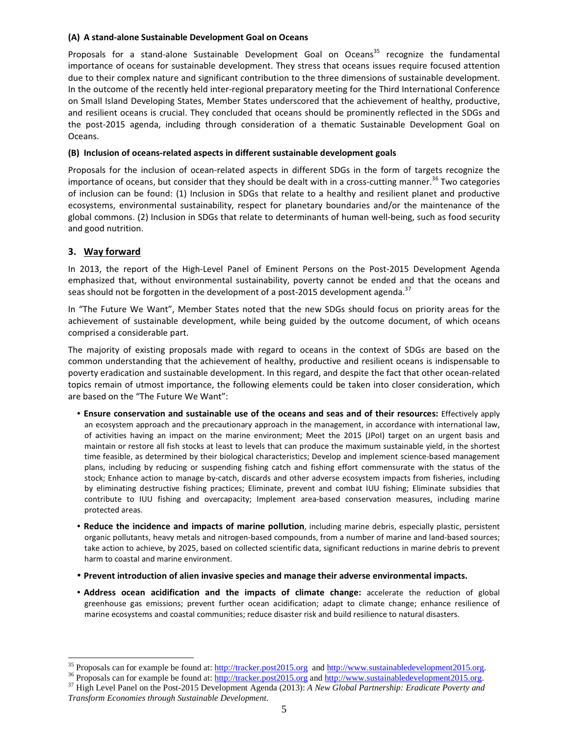#### (A) A stand-alone Sustainable Development Goal on Oceans

Proposals for a stand-alone Sustainable Development Goal on Oceans<sup>35</sup> recognize the fundamental importance of oceans for sustainable development. They stress that oceans issues require focused attention due to their complex nature and significant contribution to the three dimensions of sustainable development. In the outcome of the recently held inter-regional preparatory meeting for the Third International Conference on Small Island Developing States, Member States underscored that the achievement of healthy, productive, and resilient oceans is crucial. They concluded that oceans should be prominently reflected in the SDGs and the post-2015 agenda, including through consideration of a thematic Sustainable Development Goal on Oceans.

#### (B) Inclusion of oceans-related aspects in different sustainable development goals

Proposals for the inclusion of ocean-related aspects in different SDGs in the form of targets recognize the importance of oceans, but consider that they should be dealt with in a cross-cutting manner.<sup>36</sup> Two categories of inclusion can be found: (1) Inclusion in SDGs that relate to a healthy and resilient planet and productive ecosystems, environmental sustainability, respect for planetary boundaries and/or the maintenance of the global commons. (2) Inclusion in SDGs that relate to determinants of human well-being, such as food security and good nutrition.

## 3. Way forward

-

In 2013, the report of the High-Level Panel of Eminent Persons on the Post-2015 Development Agenda emphasized that, without environmental sustainability, poverty cannot be ended and that the oceans and seas should not be forgotten in the development of a post-2015 development agenda.<sup>37</sup>

In "The Future We Want", Member States noted that the new SDGs should focus on priority areas for the achievement of sustainable development, while being guided by the outcome document, of which oceans comprised a considerable part.

The majority of existing proposals made with regard to oceans in the context of SDGs are based on the common understanding that the achievement of healthy, productive and resilient oceans is indispensable to poverty eradication and sustainable development. In this regard, and despite the fact that other ocean-related topics remain of utmost importance, the following elements could be taken into closer consideration, which are based on the "The Future We Want":

- Ensure conservation and sustainable use of the oceans and seas and of their resources: Effectively apply an ecosystem approach and the precautionary approach in the management, in accordance with international law, of activities having an impact on the marine environment; Meet the 2015 (JPoI) target on an urgent basis and maintain or restore all fish stocks at least to levels that can produce the maximum sustainable yield, in the shortest time feasible, as determined by their biological characteristics; Develop and implement science-based management plans, including by reducing or suspending fishing catch and fishing effort commensurate with the status of the stock; Enhance action to manage by-catch, discards and other adverse ecosystem impacts from fisheries, including by eliminating destructive fishing practices; Eliminate, prevent and combat IUU fishing; Eliminate subsidies that contribute to IUU fishing and overcapacity; Implement area-based conservation measures, including marine protected areas.
- Reduce the incidence and impacts of marine pollution, including marine debris, especially plastic, persistent organic pollutants, heavy metals and nitrogen-based compounds, from a number of marine and land-based sources; take action to achieve, by 2025, based on collected scientific data, significant reductions in marine debris to prevent harm to coastal and marine environment.
- Prevent introduction of alien invasive species and manage their adverse environmental impacts.
- Address ocean acidification and the impacts of climate change: accelerate the reduction of global greenhouse gas emissions; prevent further ocean acidification; adapt to climate change; enhance resilience of marine ecosystems and coastal communities; reduce disaster risk and build resilience to natural disasters.

<sup>&</sup>lt;sup>35</sup> Proposals can for example be found at: http://tracker.post2015.org and http://www.sustainabledevelopment2015.org.

<sup>&</sup>lt;sup>36</sup> Proposals can for example be found at: http://tracker.post2015.org and http://www.sustainabledevelopment2015.org.

<sup>37</sup> High Level Panel on the Post-2015 Development Agenda (2013): *A New Global Partnership: Eradicate Poverty and Transform Economies through Sustainable Development*.